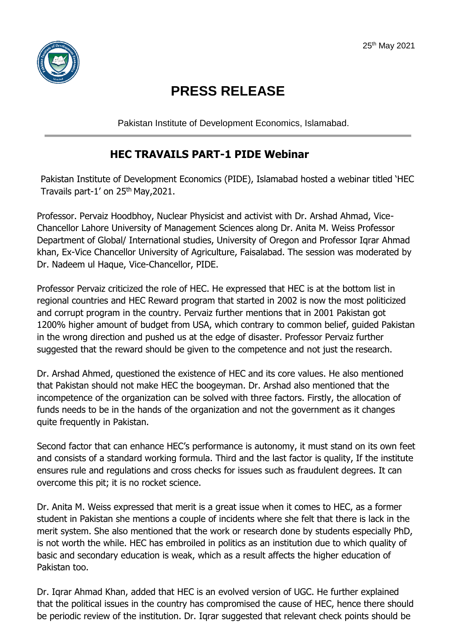

## **PRESS RELEASE**

Pakistan Institute of Development Economics, Islamabad.

## **HEC TRAVAILS PART-1 PIDE Webinar**

Pakistan Institute of Development Economics (PIDE), Islamabad hosted a webinar titled 'HEC Travails part-1' on 25<sup>th</sup> May, 2021.

Professor. Pervaiz Hoodbhoy, Nuclear Physicist and activist with Dr. Arshad Ahmad, Vice-Chancellor Lahore University of Management Sciences along Dr. Anita M. Weiss Professor Department of Global/ International studies, University of Oregon and Professor Iqrar Ahmad khan, Ex-Vice Chancellor University of Agriculture, Faisalabad. The session was moderated by Dr. Nadeem ul Haque, Vice-Chancellor, PIDE.

Professor Pervaiz criticized the role of HEC. He expressed that HEC is at the bottom list in regional countries and HEC Reward program that started in 2002 is now the most politicized and corrupt program in the country. Pervaiz further mentions that in 2001 Pakistan got 1200% higher amount of budget from USA, which contrary to common belief, guided Pakistan in the wrong direction and pushed us at the edge of disaster. Professor Pervaiz further suggested that the reward should be given to the competence and not just the research.

Dr. Arshad Ahmed, questioned the existence of HEC and its core values. He also mentioned that Pakistan should not make HEC the boogeyman. Dr. Arshad also mentioned that the incompetence of the organization can be solved with three factors. Firstly, the allocation of funds needs to be in the hands of the organization and not the government as it changes quite frequently in Pakistan.

Second factor that can enhance HEC's performance is autonomy, it must stand on its own feet and consists of a standard working formula. Third and the last factor is quality, If the institute ensures rule and regulations and cross checks for issues such as fraudulent degrees. It can overcome this pit; it is no rocket science.

Dr. Anita M. Weiss expressed that merit is a great issue when it comes to HEC, as a former student in Pakistan she mentions a couple of incidents where she felt that there is lack in the merit system. She also mentioned that the work or research done by students especially PhD, is not worth the while. HEC has embroiled in politics as an institution due to which quality of basic and secondary education is weak, which as a result affects the higher education of Pakistan too.

Dr. Iqrar Ahmad Khan, added that HEC is an evolved version of UGC. He further explained that the political issues in the country has compromised the cause of HEC, hence there should be periodic review of the institution. Dr. Iqrar suggested that relevant check points should be